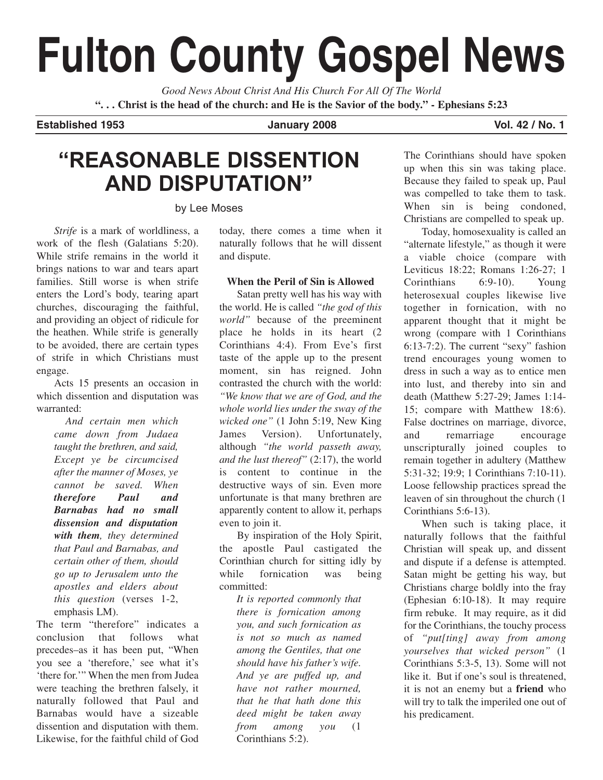# **Fulton County Gospel News**

*Good News About Christ And His Church For All Of The World* **". . . Christ is the head of the church: and He is the Savior of the body." - Ephesians 5:23**

# **Established 1953 January 2008 Vol. 42 / No. 1**

# **"REASONABLE DISSENTION AND DISPUTATION"**

by Lee Moses

*Strife* is a mark of worldliness, a work of the flesh (Galatians 5:20). While strife remains in the world it brings nations to war and tears apart families. Still worse is when strife enters the Lord's body, tearing apart churches, discouraging the faithful, and providing an object of ridicule for the heathen. While strife is generally to be avoided, there are certain types of strife in which Christians must engage.

Acts 15 presents an occasion in which dissention and disputation was warranted:

*And certain men which came down from Judaea taught the brethren, and said, Except ye be circumcised after the manner of Moses, ye cannot be saved. When therefore Paul and Barnabas had no small dissension and disputation with them, they determined that Paul and Barnabas, and certain other of them, should go up to Jerusalem unto the apostles and elders about this question* (verses 1-2, emphasis LM).

The term "therefore" indicates a conclusion that follows what precedes–as it has been put, "When you see a 'therefore,' see what it's 'there for.'" When the men from Judea were teaching the brethren falsely, it naturally followed that Paul and Barnabas would have a sizeable dissention and disputation with them. Likewise, for the faithful child of God today, there comes a time when it naturally follows that he will dissent and dispute.

# **When the Peril of Sin is Allowed**

Satan pretty well has his way with the world. He is called *"the god of this world"* because of the preeminent place he holds in its heart (2 Corinthians 4:4). From Eve's first taste of the apple up to the present moment, sin has reigned. John contrasted the church with the world: *"We know that we are of God, and the whole world lies under the sway of the wicked one"* (1 John 5:19, New King James Version). Unfortunately, although *"the world passeth away, and the lust thereof"* (2:17), the world is content to continue in the destructive ways of sin. Even more unfortunate is that many brethren are apparently content to allow it, perhaps even to join it.

By inspiration of the Holy Spirit, the apostle Paul castigated the Corinthian church for sitting idly by while fornication was being committed:

*It is reported commonly that there is fornication among you, and such fornication as is not so much as named among the Gentiles, that one should have his father's wife. And ye are puffed up, and have not rather mourned, that he that hath done this deed might be taken away from among you* (1 Corinthians 5:2).

The Corinthians should have spoken up when this sin was taking place. Because they failed to speak up, Paul was compelled to take them to task. When sin is being condoned, Christians are compelled to speak up.

Today, homosexuality is called an "alternate lifestyle," as though it were a viable choice (compare with Leviticus 18:22; Romans 1:26-27; 1 Corinthians 6:9-10). Young heterosexual couples likewise live together in fornication, with no apparent thought that it might be wrong (compare with 1 Corinthians 6:13-7:2). The current "sexy" fashion trend encourages young women to dress in such a way as to entice men into lust, and thereby into sin and death (Matthew 5:27-29; James 1:14- 15; compare with Matthew 18:6). False doctrines on marriage, divorce, and remarriage encourage unscripturally joined couples to remain together in adultery (Matthew 5:31-32; 19:9; 1 Corinthians 7:10-11). Loose fellowship practices spread the leaven of sin throughout the church (1 Corinthians 5:6-13).

When such is taking place, it naturally follows that the faithful Christian will speak up, and dissent and dispute if a defense is attempted. Satan might be getting his way, but Christians charge boldly into the fray (Ephesian 6:10-18). It may require firm rebuke. It may require, as it did for the Corinthians, the touchy process of *"put[ting] away from among yourselves that wicked person"* (1 Corinthians 5:3-5, 13). Some will not like it. But if one's soul is threatened, it is not an enemy but a **friend** who will try to talk the imperiled one out of his predicament.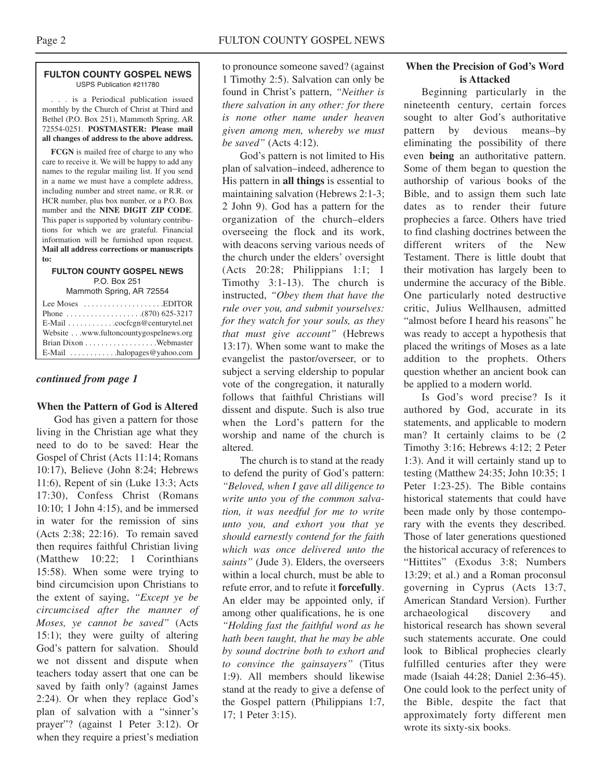### **FULTON COUNTY GOSPEL NEWS** USPS Publication #211780

. . . is a Periodical publication issued monthly by the Church of Christ at Third and Bethel (P.O. Box 251), Mammoth Spring, AR 72554-0251. **POSTMASTER: Please mail all changes of address to the above address.**

**FCGN** is mailed free of charge to any who care to receive it. We will be happy to add any names to the regular mailing list. If you send in a name we must have a complete address, including number and street name, or R.R. or HCR number, plus box number, or a P.O. Box number and the **NINE DIGIT ZIP CODE**. This paper is supported by voluntary contributions for which we are grateful. Financial information will be furnished upon request. **Mail all address corrections or manuscripts to:**

## **FULTON COUNTY GOSPEL NEWS** P.O. Box 251

Mammoth Spring, AR 72554

| Lee Moses $\dots \dots \dots \dots \dots$ . EDITOR |
|----------------------------------------------------|
|                                                    |
| E-Mail cocfcgn@centurytel.net                      |
| Website www.fultoncountygospelnews.org             |
|                                                    |
| E-Mail $\dots \dots \dots$ halopages @ yahoo.com   |

# *continued from page 1*

# **When the Pattern of God is Altered**

God has given a pattern for those living in the Christian age what they need to do to be saved: Hear the Gospel of Christ (Acts 11:14; Romans 10:17), Believe (John 8:24; Hebrews 11:6), Repent of sin (Luke 13:3; Acts 17:30), Confess Christ (Romans 10:10; 1 John 4:15), and be immersed in water for the remission of sins (Acts 2:38; 22:16). To remain saved then requires faithful Christian living (Matthew 10:22; 1 Corinthians 15:58). When some were trying to bind circumcision upon Christians to the extent of saying, *"Except ye be circumcised after the manner of Moses, ye cannot be saved"* (Acts 15:1); they were guilty of altering God's pattern for salvation. Should we not dissent and dispute when teachers today assert that one can be saved by faith only? (against James 2:24). Or when they replace God's plan of salvation with a "sinner's prayer"? (against 1 Peter 3:12). Or when they require a priest's mediation

to pronounce someone saved? (against 1 Timothy 2:5). Salvation can only be found in Christ's pattern, *"Neither is there salvation in any other: for there is none other name under heaven given among men, whereby we must be saved"* (Acts 4:12).

God's pattern is not limited to His plan of salvation–indeed, adherence to His pattern in **all things** is essential to maintaining salvation (Hebrews 2:1-3; 2 John 9). God has a pattern for the organization of the church–elders overseeing the flock and its work, with deacons serving various needs of the church under the elders' oversight (Acts 20:28; Philippians 1:1; 1 Timothy 3:1-13). The church is instructed, *"Obey them that have the rule over you, and submit yourselves: for they watch for your souls, as they that must give account"* (Hebrews 13:17). When some want to make the evangelist the pastor/overseer, or to subject a serving eldership to popular vote of the congregation, it naturally follows that faithful Christians will dissent and dispute. Such is also true when the Lord's pattern for the worship and name of the church is altered.

The church is to stand at the ready to defend the purity of God's pattern: *"Beloved, when I gave all diligence to write unto you of the common salvation, it was needful for me to write unto you, and exhort you that ye should earnestly contend for the faith which was once delivered unto the saints"* (Jude 3). Elders, the overseers within a local church, must be able to refute error, and to refute it **forcefully**. An elder may be appointed only, if among other qualifications, he is one *"Holding fast the faithful word as he hath been taught, that he may be able by sound doctrine both to exhort and to convince the gainsayers"* (Titus 1:9). All members should likewise stand at the ready to give a defense of the Gospel pattern (Philippians 1:7, 17; 1 Peter 3:15).

# **When the Precision of God's Word is Attacked**

Beginning particularly in the nineteenth century, certain forces sought to alter God's authoritative pattern by devious means–by eliminating the possibility of there even **being** an authoritative pattern. Some of them began to question the authorship of various books of the Bible, and to assign them such late dates as to render their future prophecies a farce. Others have tried to find clashing doctrines between the different writers of the New Testament. There is little doubt that their motivation has largely been to undermine the accuracy of the Bible. One particularly noted destructive critic, Julius Wellhausen, admitted "almost before I heard his reasons" he was ready to accept a hypothesis that placed the writings of Moses as a late addition to the prophets. Others question whether an ancient book can be applied to a modern world.

Is God's word precise? Is it authored by God, accurate in its statements, and applicable to modern man? It certainly claims to be (2 Timothy 3:16; Hebrews 4:12; 2 Peter 1:3). And it will certainly stand up to testing (Matthew 24:35; John 10:35; 1 Peter 1:23-25). The Bible contains historical statements that could have been made only by those contemporary with the events they described. Those of later generations questioned the historical accuracy of references to "Hittites" (Exodus 3:8; Numbers 13:29; et al.) and a Roman proconsul governing in Cyprus (Acts 13:7, American Standard Version). Further archaeological discovery and historical research has shown several such statements accurate. One could look to Biblical prophecies clearly fulfilled centuries after they were made (Isaiah 44:28; Daniel 2:36-45). One could look to the perfect unity of the Bible, despite the fact that approximately forty different men wrote its sixty-six books.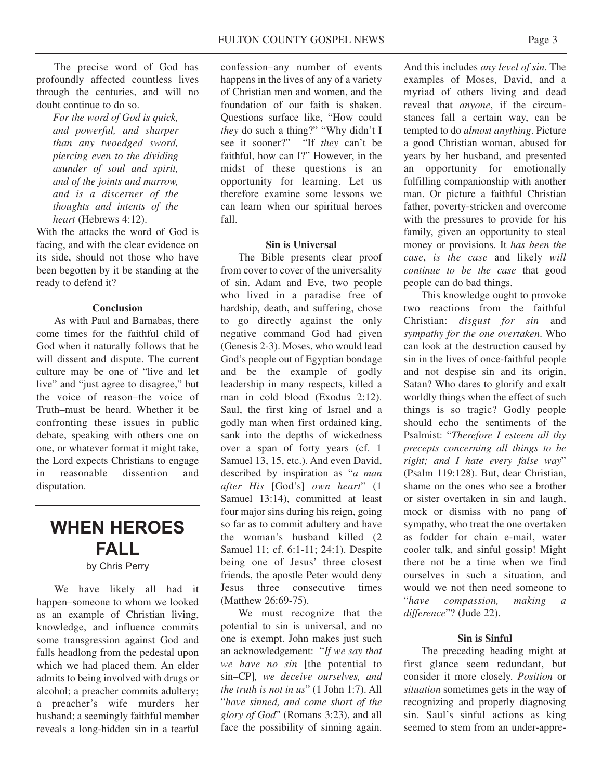The precise word of God has profoundly affected countless lives through the centuries, and will no doubt continue to do so.

*For the word of God is quick, and powerful, and sharper than any twoedged sword, piercing even to the dividing asunder of soul and spirit, and of the joints and marrow, and is a discerner of the thoughts and intents of the heart* (Hebrews 4:12).

With the attacks the word of God is facing, and with the clear evidence on its side, should not those who have been begotten by it be standing at the ready to defend it?

# **Conclusion**

As with Paul and Barnabas, there come times for the faithful child of God when it naturally follows that he will dissent and dispute. The current culture may be one of "live and let live" and "just agree to disagree," but the voice of reason–the voice of Truth–must be heard. Whether it be confronting these issues in public debate, speaking with others one on one, or whatever format it might take, the Lord expects Christians to engage in reasonable dissention and disputation.

# **WHEN HEROES FALL**

# by Chris Perry

We have likely all had it happen–someone to whom we looked as an example of Christian living, knowledge, and influence commits some transgression against God and falls headlong from the pedestal upon which we had placed them. An elder admits to being involved with drugs or alcohol; a preacher commits adultery; a preacher's wife murders her husband; a seemingly faithful member reveals a long-hidden sin in a tearful

confession–any number of events happens in the lives of any of a variety of Christian men and women, and the foundation of our faith is shaken. Questions surface like, "How could *they* do such a thing?" "Why didn't I see it sooner?" "If *they* can't be faithful, how can I?" However, in the midst of these questions is an opportunity for learning. Let us therefore examine some lessons we can learn when our spiritual heroes fall.

# **Sin is Universal**

The Bible presents clear proof from cover to cover of the universality of sin. Adam and Eve, two people who lived in a paradise free of hardship, death, and suffering, chose to go directly against the only negative command God had given (Genesis 2-3). Moses, who would lead God's people out of Egyptian bondage and be the example of godly leadership in many respects, killed a man in cold blood (Exodus 2:12). Saul, the first king of Israel and a godly man when first ordained king, sank into the depths of wickedness over a span of forty years (cf. 1 Samuel 13, 15, etc.). And even David, described by inspiration as "*a man after His* [God's] *own heart*" (1 Samuel 13:14), committed at least four major sins during his reign, going so far as to commit adultery and have the woman's husband killed (2 Samuel 11; cf. 6:1-11; 24:1). Despite being one of Jesus' three closest friends, the apostle Peter would deny Jesus three consecutive times (Matthew 26:69-75).

We must recognize that the potential to sin is universal, and no one is exempt. John makes just such an acknowledgement: "*If we say that we have no sin* [the potential to sin–CP]*, we deceive ourselves, and the truth is not in us*" (1 John 1:7). All "*have sinned, and come short of the glory of God*" (Romans 3:23), and all face the possibility of sinning again.

And this includes *any level of sin*. The examples of Moses, David, and a myriad of others living and dead reveal that *anyone*, if the circumstances fall a certain way, can be tempted to do *almost anything*. Picture a good Christian woman, abused for years by her husband, and presented an opportunity for emotionally fulfilling companionship with another man. Or picture a faithful Christian father, poverty-stricken and overcome with the pressures to provide for his family, given an opportunity to steal money or provisions. It *has been the case*, *is the case* and likely *will continue to be the case* that good people can do bad things.

This knowledge ought to provoke two reactions from the faithful Christian: *disgust for sin* and *sympathy for the one overtaken*. Who can look at the destruction caused by sin in the lives of once-faithful people and not despise sin and its origin, Satan? Who dares to glorify and exalt worldly things when the effect of such things is so tragic? Godly people should echo the sentiments of the Psalmist: "*Therefore I esteem all thy precepts concerning all things to be right; and I hate every false way*" (Psalm 119:128). But, dear Christian, shame on the ones who see a brother or sister overtaken in sin and laugh, mock or dismiss with no pang of sympathy, who treat the one overtaken as fodder for chain e-mail, water cooler talk, and sinful gossip! Might there not be a time when we find ourselves in such a situation, and would we not then need someone to "*have compassion, making a difference*"? (Jude 22).

# **Sin is Sinful**

The preceding heading might at first glance seem redundant, but consider it more closely. *Position* or *situation* sometimes gets in the way of recognizing and properly diagnosing sin. Saul's sinful actions as king seemed to stem from an under-appre